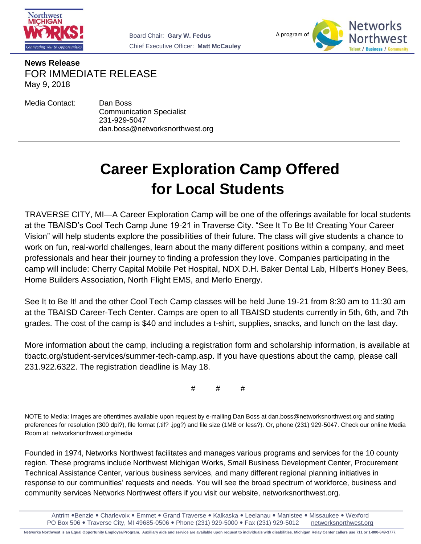



**News Release** FOR IMMEDIATE RELEASE May 9, 2018

Media Contact: Dan Boss

Communication Specialist 231-929-5047 dan.boss@networksnorthwest.org

## **Career Exploration Camp Offered for Local Students**

TRAVERSE CITY, MI—A Career Exploration Camp will be one of the offerings available for local students at the TBAISD's Cool Tech Camp June 19-21 in Traverse City. "See It To Be It! Creating Your Career Vision" will help students explore the possibilities of their future. The class will give students a chance to work on fun, real-world challenges, learn about the many different positions within a company, and meet professionals and hear their journey to finding a profession they love. Companies participating in the camp will include: Cherry Capital Mobile Pet Hospital, NDX D.H. Baker Dental Lab, Hilbert's Honey Bees, Home Builders Association, North Flight EMS, and Merlo Energy.

See It to Be It! and the other Cool Tech Camp classes will be held June 19-21 from 8:30 am to 11:30 am at the TBAISD Career-Tech Center. Camps are open to all TBAISD students currently in 5th, 6th, and 7th grades. The cost of the camp is \$40 and includes a t-shirt, supplies, snacks, and lunch on the last day.

More information about the camp, including a registration form and scholarship information, is available at tbactc.org/student-services/summer-tech-camp.asp. If you have questions about the camp, please call 231.922.6322. The registration deadline is May 18.

# # #

NOTE to Media: Images are oftentimes available upon request by e-mailing Dan Boss at dan.boss@networksnorthwest.org and stating preferences for resolution (300 dpi?), file format (.tif? .jpg?) and file size (1MB or less?). Or, phone (231) 929-5047. Check our online Media Room at: networksnorthwest.org/media

Founded in 1974, Networks Northwest facilitates and manages various programs and services for the 10 county region. These programs include Northwest Michigan Works, Small Business Development Center, Procurement Technical Assistance Center, various business services, and many different regional planning initiatives in response to our communities' requests and needs. You will see the broad spectrum of workforce, business and community services Networks Northwest offers if you visit our website, networksnorthwest.org.

Antrim •Benzie • Charlevoix • Emmet • Grand Traverse • Kalkaska • Leelanau • Manistee • Missaukee • Wexford PO Box 506 Traverse City, MI 49685-0506 Phone (231) 929-5000 Fax (231) 929-5012 networksnorthwest.org